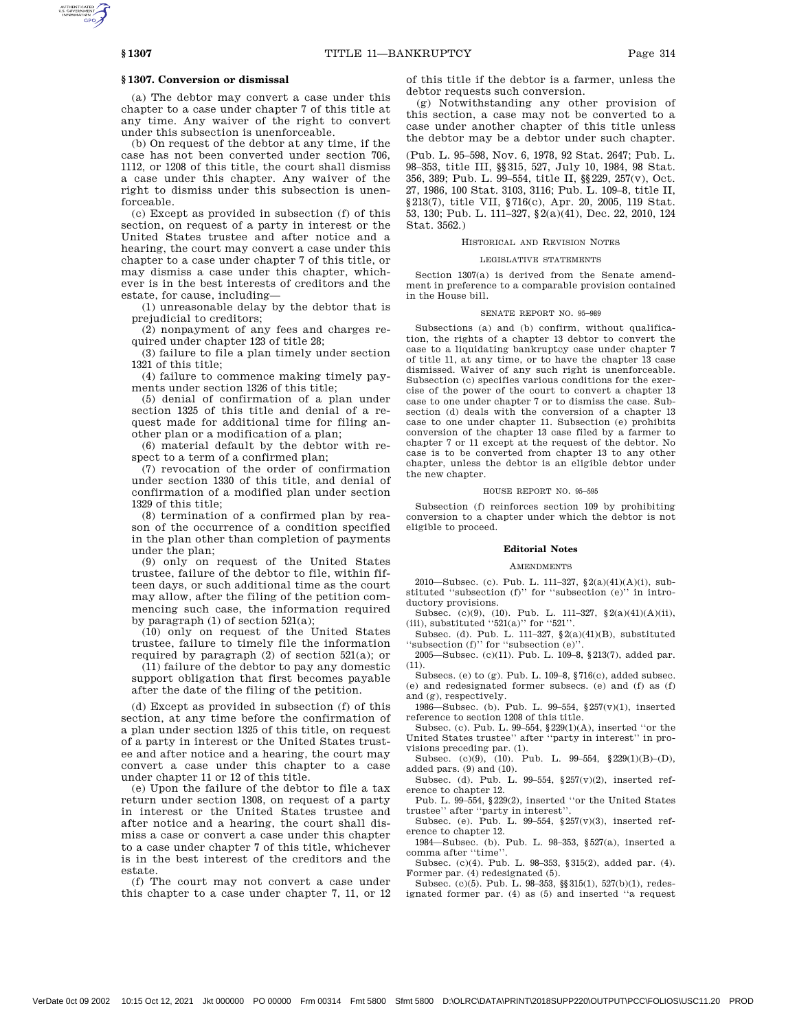# **§ 1307. Conversion or dismissal**

(a) The debtor may convert a case under this chapter to a case under chapter 7 of this title at any time. Any waiver of the right to convert under this subsection is unenforceable.

(b) On request of the debtor at any time, if the case has not been converted under section 706, 1112, or 1208 of this title, the court shall dismiss a case under this chapter. Any waiver of the right to dismiss under this subsection is unenforceable.

(c) Except as provided in subsection (f) of this section, on request of a party in interest or the United States trustee and after notice and a hearing, the court may convert a case under this chapter to a case under chapter 7 of this title, or may dismiss a case under this chapter, whichever is in the best interests of creditors and the estate, for cause, including—

(1) unreasonable delay by the debtor that is prejudicial to creditors;

(2) nonpayment of any fees and charges required under chapter 123 of title 28;

(3) failure to file a plan timely under section 1321 of this title;

(4) failure to commence making timely payments under section 1326 of this title;

(5) denial of confirmation of a plan under section 1325 of this title and denial of a request made for additional time for filing another plan or a modification of a plan;

(6) material default by the debtor with respect to a term of a confirmed plan;

(7) revocation of the order of confirmation under section 1330 of this title, and denial of confirmation of a modified plan under section 1329 of this title;

(8) termination of a confirmed plan by reason of the occurrence of a condition specified in the plan other than completion of payments under the plan;

(9) only on request of the United States trustee, failure of the debtor to file, within fifteen days, or such additional time as the court may allow, after the filing of the petition commencing such case, the information required by paragraph (1) of section 521(a);

(10) only on request of the United States trustee, failure to timely file the information required by paragraph  $(2)$  of section 521 $(a)$ ; or

(11) failure of the debtor to pay any domestic support obligation that first becomes payable after the date of the filing of the petition.

(d) Except as provided in subsection (f) of this section, at any time before the confirmation of a plan under section 1325 of this title, on request of a party in interest or the United States trustee and after notice and a hearing, the court may convert a case under this chapter to a case under chapter 11 or 12 of this title.

(e) Upon the failure of the debtor to file a tax return under section 1308, on request of a party in interest or the United States trustee and after notice and a hearing, the court shall dismiss a case or convert a case under this chapter to a case under chapter 7 of this title, whichever is in the best interest of the creditors and the estate.

(f) The court may not convert a case under this chapter to a case under chapter 7, 11, or 12 of this title if the debtor is a farmer, unless the debtor requests such conversion.

(g) Notwithstanding any other provision of this section, a case may not be converted to a case under another chapter of this title unless the debtor may be a debtor under such chapter.

(Pub. L. 95–598, Nov. 6, 1978, 92 Stat. 2647; Pub. L. 98–353, title III, §§315, 527, July 10, 1984, 98 Stat. 356, 389; Pub. L. 99–554, title II, §§229, 257(v), Oct. 27, 1986, 100 Stat. 3103, 3116; Pub. L. 109–8, title II, §213(7), title VII, §716(c), Apr. 20, 2005, 119 Stat. 53, 130; Pub. L. 111–327, §2(a)(41), Dec. 22, 2010, 124 Stat. 3562.)

### HISTORICAL AND REVISION NOTES

#### LEGISLATIVE STATEMENTS

Section 1307(a) is derived from the Senate amendment in preference to a comparable provision contained in the House bill.

## SENATE REPORT NO. 95–989

Subsections (a) and (b) confirm, without qualification, the rights of a chapter 13 debtor to convert the case to a liquidating bankruptcy case under chapter 7 of title 11, at any time, or to have the chapter 13 case dismissed. Waiver of any such right is unenforceable. Subsection (c) specifies various conditions for the exercise of the power of the court to convert a chapter 13 case to one under chapter 7 or to dismiss the case. Subsection (d) deals with the conversion of a chapter 13 case to one under chapter 11. Subsection (e) prohibits conversion of the chapter 13 case filed by a farmer to chapter 7 or 11 except at the request of the debtor. No case is to be converted from chapter 13 to any other chapter, unless the debtor is an eligible debtor under the new chapter.

## HOUSE REPORT NO. 95–595

Subsection (f) reinforces section 109 by prohibiting conversion to a chapter under which the debtor is not eligible to proceed.

## **Editorial Notes**

#### **AMENDMENTS**

2010—Subsec. (c). Pub. L. 111–327, §2(a)(41)(A)(i), substituted ''subsection (f)'' for ''subsection (e)'' in introductory provisions.

Subsec. (c)(9), (10). Pub. L. 111–327, §2(a)(41)(A)(ii), (iii), substituted  $"521(a)"$  for  $"521"$ .

Subsec. (d). Pub. L. 111–327, §2(a)(41)(B), substituted ''subsection (f)'' for ''subsection (e)''.

2005—Subsec. (c)(11). Pub. L. 109–8, §213(7), added par. (11).

Subsecs. (e) to (g). Pub. L. 109–8, §716(c), added subsec. (e) and redesignated former subsecs. (e) and (f) as (f)

and (g), respectively. 1986—Subsec. (b). Pub. L. 99–554, §257(v)(1), inserted

reference to section 1208 of this title. Subsec. (c). Pub. L. 99–554, §229(1)(A), inserted ''or the

United States trustee'' after ''party in interest'' in provisions preceding par. (1).

Subsec. (c)(9), (10). Pub. L. 99–554, §229(1)(B)–(D), added pars. (9) and (10).

Subsec. (d). Pub. L. 99–554, §257(v)(2), inserted reference to chapter 12.

Pub. L. 99–554, §229(2), inserted ''or the United States trustee'' after ''party in interest''.

Subsec. (e). Pub. L. 99-554,  $\S 257(v)(3)$ , inserted reference to chapter 12.

1984—Subsec. (b). Pub. L. 98–353, §527(a), inserted a comma after ''time''.

Subsec. (c)(4). Pub. L. 98–353, §315(2), added par. (4). Former par. (4) redesignated (5).

Subsec. (c)(5). Pub. L. 98–353, §§315(1), 527(b)(1), redesignated former par. (4) as (5) and inserted ''a request